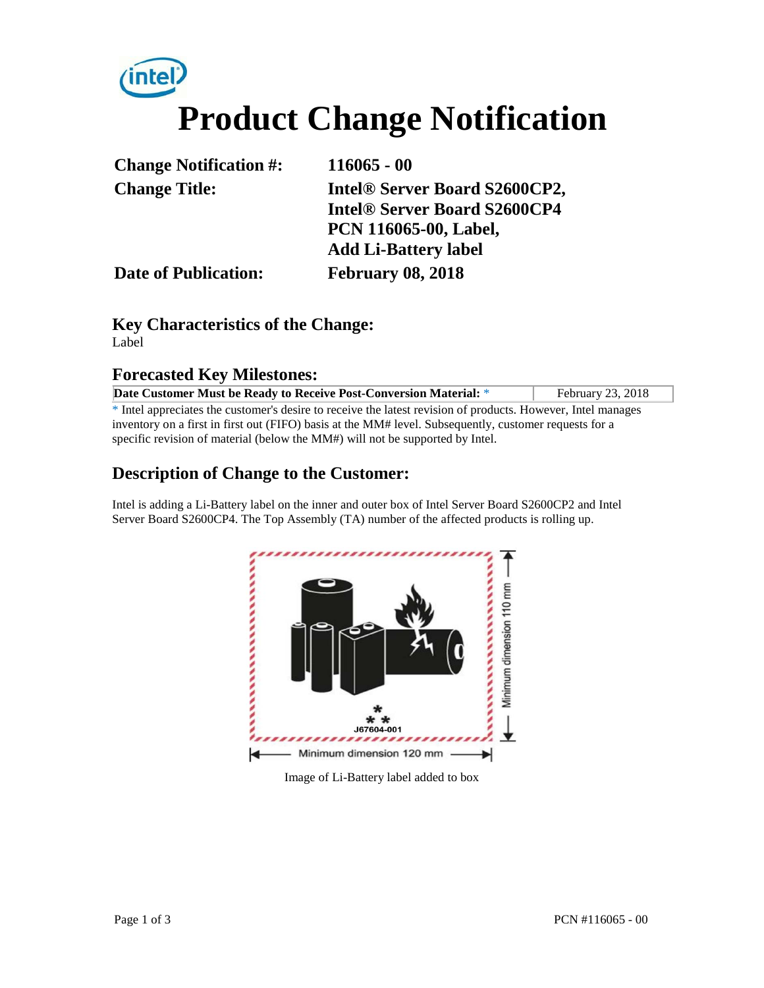# **Product Change Notification**

| <b>Change Notification #:</b> | $116065 - 00$                       |  |
|-------------------------------|-------------------------------------|--|
| <b>Change Title:</b>          | Intel® Server Board S2600CP2,       |  |
|                               | <b>Intel® Server Board S2600CP4</b> |  |
|                               | <b>PCN 116065-00, Label,</b>        |  |
|                               | <b>Add Li-Battery label</b>         |  |
| <b>Date of Publication:</b>   | <b>February 08, 2018</b>            |  |

#### **Key Characteristics of the Change:** Label

#### **Forecasted Key Milestones:**

| Date Customer Must be Ready to Receive Post-Conversion Material: *                                                      | February 23, 2018 |  |
|-------------------------------------------------------------------------------------------------------------------------|-------------------|--|
| <sup>*</sup> Intel appreciates the customer's desire to receive the latest revision of products. However, Intel manages |                   |  |
| inventory on a first in first out (FIFO) basis at the MM# level. Subsequently, customer requests for a                  |                   |  |
| specific revision of material (below the MM#) will not be supported by Intel.                                           |                   |  |

#### **Description of Change to the Customer:**

Intel is adding a Li-Battery label on the inner and outer box of Intel Server Board S2600CP2 and Intel Server Board S2600CP4. The Top Assembly (TA) number of the affected products is rolling up.



Image of Li-Battery label added to box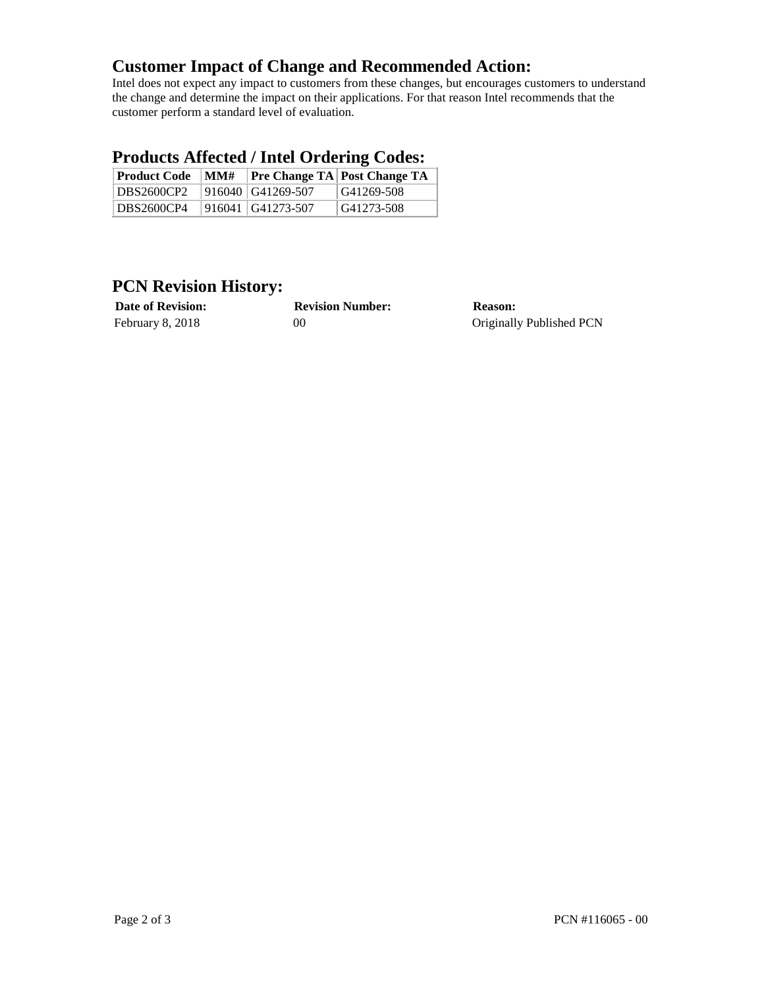#### **Customer Impact of Change and Recommended Action:**

Intel does not expect any impact to customers from these changes, but encourages customers to understand the change and determine the impact on their applications. For that reason Intel recommends that the customer perform a standard level of evaluation.

#### **Products Affected / Intel Ordering Codes:**

| <b>Product Code</b> | MM# |                     | <b>Pre Change TA Post Change TA</b> |
|---------------------|-----|---------------------|-------------------------------------|
| DBS2600CP2          |     | $916040$ G41269-507 | G41269-508                          |
| DBS2600CP4          |     | $916041$ G41273-507 | G41273-508                          |

### **PCN Revision History:**

| <b>Date of Revision:</b> |  |
|--------------------------|--|
| February 8, 2018         |  |

**Date of Revision: Revision Number: Reason:**

00 Originally Published PCN